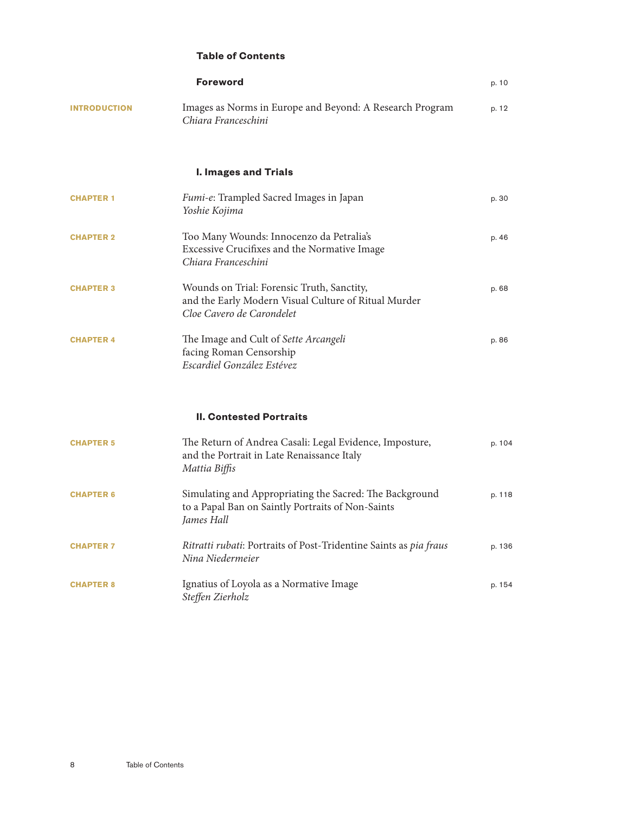## **Table of Contents**

|                     | <b>Foreword</b>                                                                                                                 | p. 10  |
|---------------------|---------------------------------------------------------------------------------------------------------------------------------|--------|
| <b>INTRODUCTION</b> | Images as Norms in Europe and Beyond: A Research Program<br>Chiara Franceschini                                                 | p. 12  |
|                     | <b>I. Images and Trials</b>                                                                                                     |        |
| <b>CHAPTER 1</b>    | Fumi-e: Trampled Sacred Images in Japan<br>Yoshie Kojima                                                                        | p. 30  |
| <b>CHAPTER 2</b>    | Too Many Wounds: Innocenzo da Petralia's<br>Excessive Crucifixes and the Normative Image<br>Chiara Franceschini                 | p. 46  |
| <b>CHAPTER 3</b>    | Wounds on Trial: Forensic Truth, Sanctity,<br>and the Early Modern Visual Culture of Ritual Murder<br>Cloe Cavero de Carondelet | p. 68  |
| <b>CHAPTER 4</b>    | The Image and Cult of Sette Arcangeli<br>facing Roman Censorship<br>Escardiel González Estévez                                  | p. 86  |
|                     | <b>II. Contested Portraits</b>                                                                                                  |        |
| <b>CHAPTER 5</b>    | The Return of Andrea Casali: Legal Evidence, Imposture,<br>and the Portrait in Late Renaissance Italy<br>Mattia Biffis          | p. 104 |
| <b>CHAPTER 6</b>    | Simulating and Appropriating the Sacred: The Background<br>to a Papal Ban on Saintly Portraits of Non-Saints<br>James Hall      | p. 118 |
| <b>CHAPTER 7</b>    | Ritratti rubati: Portraits of Post-Tridentine Saints as pia fraus<br>Nina Niedermeier                                           | p. 136 |
| <b>CHAPTER 8</b>    | Ignatius of Loyola as a Normative Image<br>Steffen Zierholz                                                                     | p. 154 |

 $\,8\,$